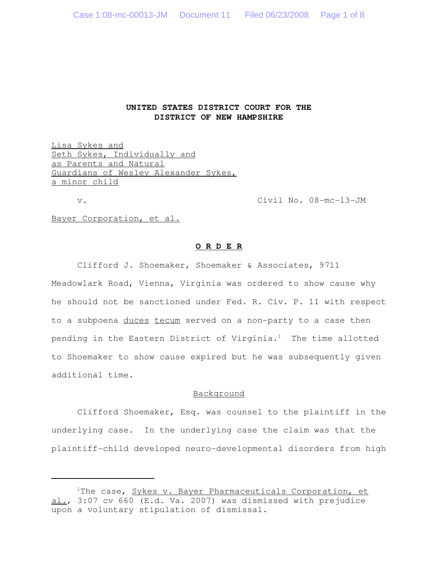## **UNITED STATES DISTRICT COURT FOR THE DISTRICT OF NEW HAMPSHIRE**

Lisa Sykes and Seth Sykes, Individually and as Parents and Natural Guardians of Wesley Alexander Sykes, a minor child

v. Civil No. 08-mc-13-JM

Bayer Corporation, et al.

## **O R D E R**

Clifford J. Shoemaker, Shoemaker & Associates, 9711 Meadowlark Road, Vienna, Virginia was ordered to show cause why he should not be sanctioned under Fed. R. Civ. P. 11 with respect to a subpoena duces tecum served on a non-party to a case then pending in the Eastern District of Virginia.<sup>1</sup> The time allotted to Shoemaker to show cause expired but he was subsequently given additional time.

## Background

Clifford Shoemaker, Esq. was counsel to the plaintiff in the underlying case. In the underlying case the claim was that the plaintiff-child developed neuro-developmental disorders from high

<sup>&</sup>lt;sup>1</sup>The case, Sykes v. Bayer Pharmaceuticals Corporation, et al., 3:07 cv 660 (E.d. Va. 2007) was dismissed with prejudice upon a voluntary stipulation of dismissal.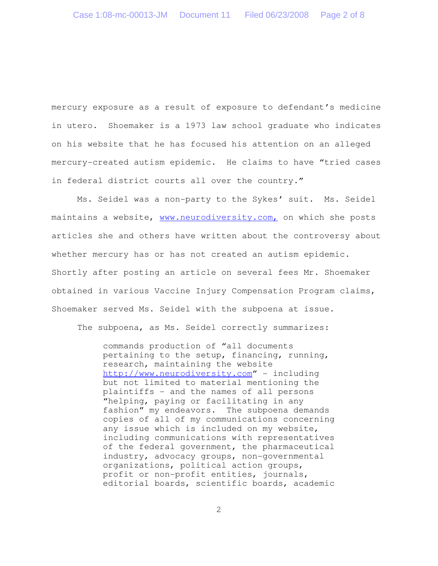mercury exposure as a result of exposure to defendant's medicine in utero. Shoemaker is a 1973 law school graduate who indicates on his website that he has focused his attention on an alleged mercury-created autism epidemic. He claims to have "tried cases in federal district courts all over the country."

Ms. Seidel was a non-party to the Sykes' suit. Ms. Seidel maintains a website, www.neurodiversity.com, on which she posts articles she and others have written about the controversy about whether mercury has or has not created an autism epidemic. Shortly after posting an article on several fees Mr. Shoemaker obtained in various Vaccine Injury Compensation Program claims, Shoemaker served Ms. Seidel with the subpoena at issue.

The subpoena, as Ms. Seidel correctly summarizes:

commands production of "all documents pertaining to the setup, financing, running, research, maintaining the website http://www.neurodiversity.com" - including but not limited to material mentioning the plaintiffs - and the names of all persons "helping, paying or facilitating in any fashion" my endeavors. The subpoena demands copies of all of my communications concerning any issue which is included on my website, including communications with representatives of the federal government, the pharmaceutical industry, advocacy groups, non-governmental organizations, political action groups, profit or non-profit entities, journals, editorial boards, scientific boards, academic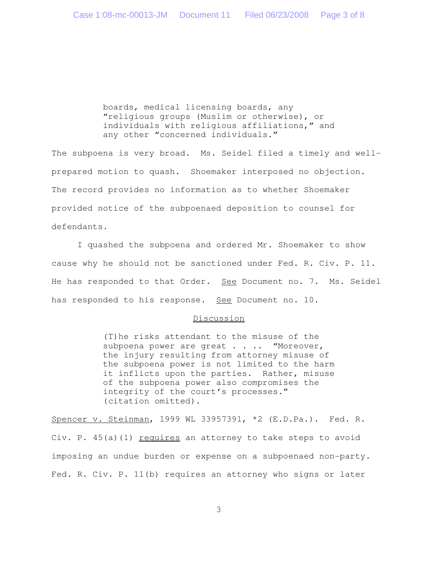boards, medical licensing boards, any "religious groups (Muslim or otherwise), or individuals with religious affiliations," and any other "concerned individuals."

The subpoena is very broad. Ms. Seidel filed a timely and wellprepared motion to quash. Shoemaker interposed no objection. The record provides no information as to whether Shoemaker provided notice of the subpoenaed deposition to counsel for defendants.

I quashed the subpoena and ordered Mr. Shoemaker to show cause why he should not be sanctioned under Fed. R. Civ. P. 11. He has responded to that Order. See Document no. 7. Ms. Seidel has responded to his response. See Document no. 10.

## Discussion

(T)he risks attendant to the misuse of the subpoena power are great . . . "Moreover, the injury resulting from attorney misuse of the subpoena power is not limited to the harm it inflicts upon the parties. Rather, misuse of the subpoena power also compromises the integrity of the court's processes." (citation omitted).

Spencer v. Steinman, 1999 WL 33957391, \*2 (E.D.Pa.). Fed. R. Civ. P. 45(a)(1) requires an attorney to take steps to avoid imposing an undue burden or expense on a subpoenaed non-party. Fed. R. Civ. P. 11(b) requires an attorney who signs or later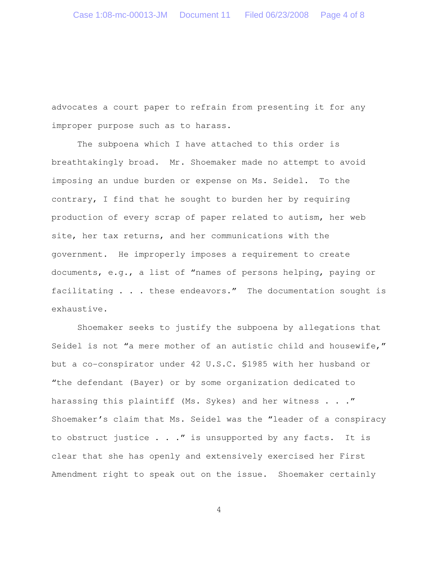advocates a court paper to refrain from presenting it for any improper purpose such as to harass.

The subpoena which I have attached to this order is breathtakingly broad. Mr. Shoemaker made no attempt to avoid imposing an undue burden or expense on Ms. Seidel. To the contrary, I find that he sought to burden her by requiring production of every scrap of paper related to autism, her web site, her tax returns, and her communications with the government. He improperly imposes a requirement to create documents, e.g., a list of "names of persons helping, paying or facilitating . . . these endeavors." The documentation sought is exhaustive.

Shoemaker seeks to justify the subpoena by allegations that Seidel is not "a mere mother of an autistic child and housewife," but a co-conspirator under 42 U.S.C. §1985 with her husband or "the defendant (Bayer) or by some organization dedicated to harassing this plaintiff (Ms. Sykes) and her witness . . . " Shoemaker's claim that Ms. Seidel was the "leader of a conspiracy to obstruct justice . . ." is unsupported by any facts. It is clear that she has openly and extensively exercised her First Amendment right to speak out on the issue. Shoemaker certainly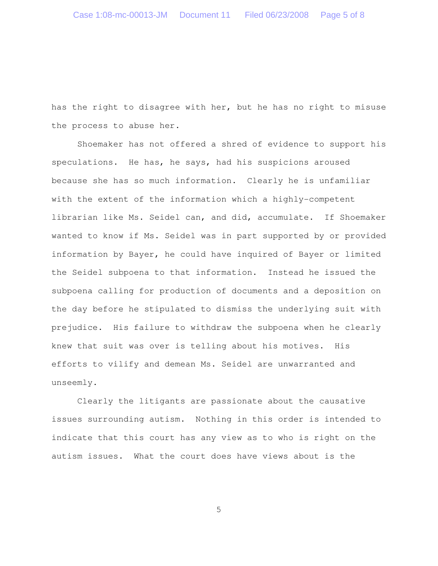has the right to disagree with her, but he has no right to misuse the process to abuse her.

Shoemaker has not offered a shred of evidence to support his speculations. He has, he says, had his suspicions aroused because she has so much information. Clearly he is unfamiliar with the extent of the information which a highly-competent librarian like Ms. Seidel can, and did, accumulate. If Shoemaker wanted to know if Ms. Seidel was in part supported by or provided information by Bayer, he could have inquired of Bayer or limited the Seidel subpoena to that information. Instead he issued the subpoena calling for production of documents and a deposition on the day before he stipulated to dismiss the underlying suit with prejudice. His failure to withdraw the subpoena when he clearly knew that suit was over is telling about his motives. His efforts to vilify and demean Ms. Seidel are unwarranted and unseemly.

Clearly the litigants are passionate about the causative issues surrounding autism. Nothing in this order is intended to indicate that this court has any view as to who is right on the autism issues. What the court does have views about is the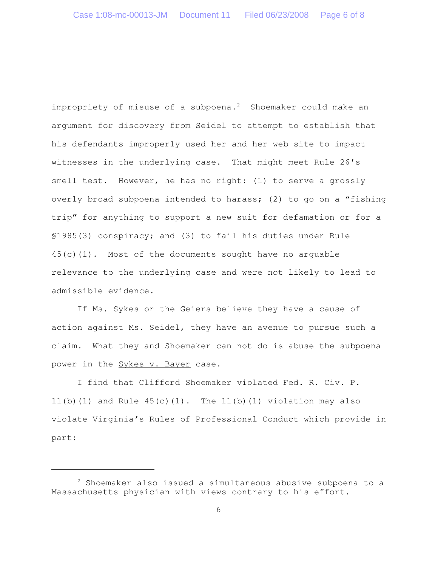impropriety of misuse of a subpoena.<sup>2</sup> Shoemaker could make an argument for discovery from Seidel to attempt to establish that his defendants improperly used her and her web site to impact witnesses in the underlying case. That might meet Rule 26's smell test. However, he has no right: (1) to serve a grossly overly broad subpoena intended to harass; (2) to go on a "fishing trip" for anything to support a new suit for defamation or for a §1985(3) conspiracy; and (3) to fail his duties under Rule  $45(c)(1)$ . Most of the documents sought have no arguable relevance to the underlying case and were not likely to lead to admissible evidence.

If Ms. Sykes or the Geiers believe they have a cause of action against Ms. Seidel, they have an avenue to pursue such a claim. What they and Shoemaker can not do is abuse the subpoena power in the Sykes v. Bayer case.

I find that Clifford Shoemaker violated Fed. R. Civ. P. 11(b)(1) and Rule  $45(c)(1)$ . The 11(b)(1) violation may also violate Virginia's Rules of Professional Conduct which provide in part:

<sup>2</sup> Shoemaker also issued a simultaneous abusive subpoena to a Massachusetts physician with views contrary to his effort.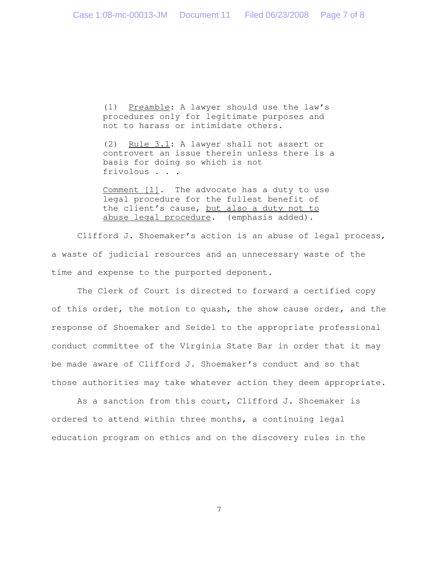(1) Preamble: A lawyer should use the law's procedures only for legitimate purposes and not to harass or intimidate others.

(2) Rule 3.1: A lawyer shall not assert or controvert an issue therein unless there is a basis for doing so which is not frivolous . . .

Comment [1]. The advocate has a duty to use legal procedure for the fullest benefit of the client's cause, but also a duty not to abuse legal procedure. (emphasis added).

Clifford J. Shoemaker's action is an abuse of legal process, a waste of judicial resources and an unnecessary waste of the time and expense to the purported deponent.

The Clerk of Court is directed to forward a certified copy of this order, the motion to quash, the show cause order, and the response of Shoemaker and Seidel to the appropriate professional conduct committee of the Virginia State Bar in order that it may be made aware of Clifford J. Shoemaker's conduct and so that those authorities may take whatever action they deem appropriate.

As a sanction from this court, Clifford J. Shoemaker is ordered to attend within three months, a continuing legal education program on ethics and on the discovery rules in the